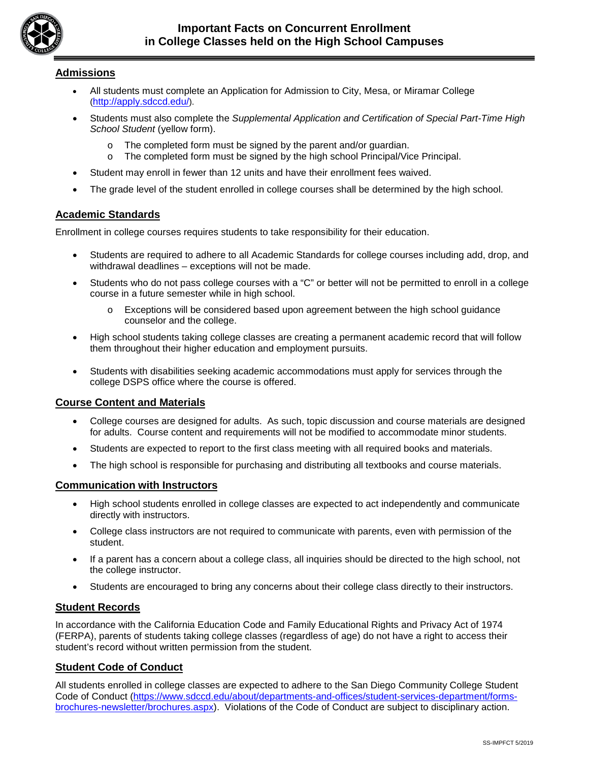

## **Admissions**

- All students must complete an Application for Admission to City, Mesa, or Miramar College (http://apply.sdccd.edu/).
- Students must also complete the *Supplemental Application and Certification of Special Part-Time High School Student* (yellow form).
	- $\circ$  The completed form must be signed by the parent and/or guardian.<br>  $\circ$  The completed form must be signed by the high school Principal/Vio
	- The completed form must be signed by the high school Principal/Vice Principal.
- Student may enroll in fewer than 12 units and have their enrollment fees waived.
- The grade level of the student enrolled in college courses shall be determined by the high school.

## **Academic Standards**

Enrollment in college courses requires students to take responsibility for their education.

- Students are required to adhere to all Academic Standards for college courses including add, drop, and withdrawal deadlines – exceptions will not be made.
- Students who do not pass college courses with a "C" or better will not be permitted to enroll in a college course in a future semester while in high school.
	- o Exceptions will be considered based upon agreement between the high school guidance counselor and the college.
- High school students taking college classes are creating a permanent academic record that will follow them throughout their higher education and employment pursuits.
- Students with disabilities seeking academic accommodations must apply for services through the college DSPS office where the course is offered.

## **Course Content and Materials**

- College courses are designed for adults. As such, topic discussion and course materials are designed for adults. Course content and requirements will not be modified to accommodate minor students.
- Students are expected to report to the first class meeting with all required books and materials.
- The high school is responsible for purchasing and distributing all textbooks and course materials.

#### **Communication with Instructors**

- High school students enrolled in college classes are expected to act independently and communicate directly with instructors.
- College class instructors are not required to communicate with parents, even with permission of the student.
- If a parent has a concern about a college class, all inquiries should be directed to the high school, not the college instructor.
- Students are encouraged to bring any concerns about their college class directly to their instructors.

## **Student Records**

In accordance with the California Education Code and Family Educational Rights and Privacy Act of 1974 (FERPA), parents of students taking college classes (regardless of age) do not have a right to access their student's record without written permission from the student.

#### **Student Code of Conduct**

All students enrolled in college classes are expected to adhere to the San Diego Community College Student Code of Conduct [\(https://www.sdccd.edu/about/departments-and-offices/student-services-department/forms](https://www.sdccd.edu/about/departments-and-offices/student-services-department/forms-brochures-newsletter/brochures.aspx)[brochures-newsletter/brochures.aspx\)](https://www.sdccd.edu/about/departments-and-offices/student-services-department/forms-brochures-newsletter/brochures.aspx). Violations of the Code of Conduct are subject to disciplinary action.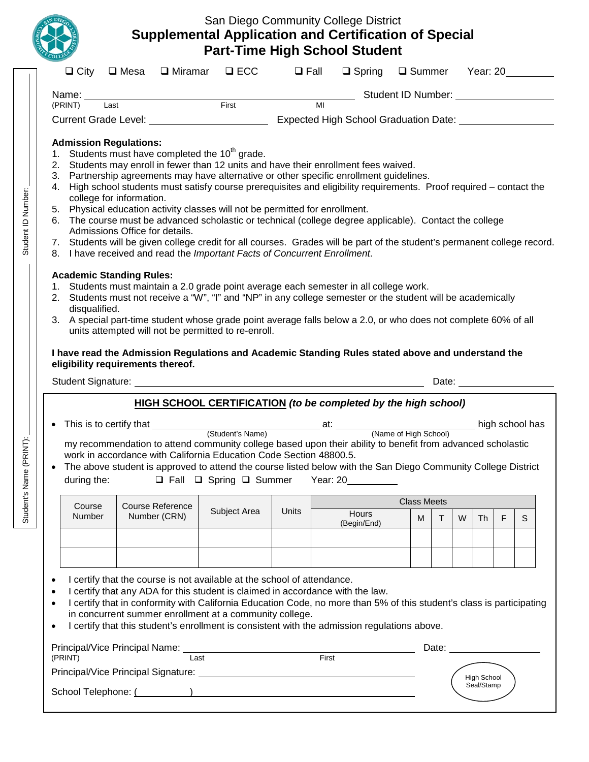

# San Diego Community College District **Supplemental Application and Certification of Special Part-Time High School Student**

| $\Box$ City                                                                                                                     | $\square$ Mesa          | $\Box$ Miramar | $\square$ ECC                                                                                                                         | $\Box$ Fall  | $\Box$ Spring                                                                                                                                                                                                                                                                                                                                                                                                                                                                                                                      | Summer Year: 20    |    |                                                                                                                                                                                                                                |   |                                                                                                                                                                                                                                |  |
|---------------------------------------------------------------------------------------------------------------------------------|-------------------------|----------------|---------------------------------------------------------------------------------------------------------------------------------------|--------------|------------------------------------------------------------------------------------------------------------------------------------------------------------------------------------------------------------------------------------------------------------------------------------------------------------------------------------------------------------------------------------------------------------------------------------------------------------------------------------------------------------------------------------|--------------------|----|--------------------------------------------------------------------------------------------------------------------------------------------------------------------------------------------------------------------------------|---|--------------------------------------------------------------------------------------------------------------------------------------------------------------------------------------------------------------------------------|--|
| Name: $\_\_$                                                                                                                    |                         |                |                                                                                                                                       |              | __ Student ID Number: ___________________                                                                                                                                                                                                                                                                                                                                                                                                                                                                                          |                    |    |                                                                                                                                                                                                                                |   |                                                                                                                                                                                                                                |  |
| Last<br>(PRINT)                                                                                                                 |                         |                | $\overline{First}$                                                                                                                    |              | MI<br>Current Grade Level: __________________________________Expected High School Graduation Date: _________________                                                                                                                                                                                                                                                                                                                                                                                                               |                    |    |                                                                                                                                                                                                                                |   |                                                                                                                                                                                                                                |  |
| <b>Admission Regulations:</b><br>1.<br>2.<br>3.<br>4.<br>college for information.<br>5.<br>6.<br>Admissions Office for details. |                         |                | Students must have completed the 10 <sup>th</sup> grade.<br>Physical education activity classes will not be permitted for enrollment. |              | Students may enroll in fewer than 12 units and have their enrollment fees waived.<br>Partnership agreements may have alternative or other specific enrollment guidelines.<br>High school students must satisfy course prerequisites and eligibility requirements. Proof required – contact the<br>The course must be advanced scholastic or technical (college degree applicable). Contact the college<br>7. Students will be given college credit for all courses. Grades will be part of the student's permanent college record. |                    |    |                                                                                                                                                                                                                                |   |                                                                                                                                                                                                                                |  |
| <b>Academic Standing Rules:</b><br>disqualified.<br>3.                                                                          |                         |                | 8. I have received and read the Important Facts of Concurrent Enrollment.<br>units attempted will not be permitted to re-enroll.      |              | 1. Students must maintain a 2.0 grade point average each semester in all college work.<br>2. Students must not receive a "W", "I" and "NP" in any college semester or the student will be academically<br>A special part-time student whose grade point average falls below a 2.0, or who does not complete 60% of all<br>I have read the Admission Regulations and Academic Standing Rules stated above and understand the                                                                                                        |                    |    |                                                                                                                                                                                                                                |   |                                                                                                                                                                                                                                |  |
| eligibility requirements thereof.                                                                                               |                         |                |                                                                                                                                       |              |                                                                                                                                                                                                                                                                                                                                                                                                                                                                                                                                    |                    |    | Date: the contract of the contract of the contract of the contract of the contract of the contract of the contract of the contract of the contract of the contract of the contract of the contract of the contract of the cont |   |                                                                                                                                                                                                                                |  |
|                                                                                                                                 |                         |                |                                                                                                                                       |              | <b>HIGH SCHOOL CERTIFICATION (to be completed by the high school)</b>                                                                                                                                                                                                                                                                                                                                                                                                                                                              |                    |    |                                                                                                                                                                                                                                |   |                                                                                                                                                                                                                                |  |
| during the:                                                                                                                     |                         |                | work in accordance with California Education Code Section 48800.5.                                                                    |              | my recommendation to attend community college based upon their ability to benefit from advanced scholastic<br>The above student is approved to attend the course listed below with the San Diego Community College District<br>$\Box$ Fall $\Box$ Spring $\Box$ Summer Year: 20                                                                                                                                                                                                                                                    |                    |    |                                                                                                                                                                                                                                |   |                                                                                                                                                                                                                                |  |
| Course                                                                                                                          | <b>Course Reference</b> |                |                                                                                                                                       |              |                                                                                                                                                                                                                                                                                                                                                                                                                                                                                                                                    | <b>Class Meets</b> |    |                                                                                                                                                                                                                                |   |                                                                                                                                                                                                                                |  |
| Number                                                                                                                          | Number (CRN)            |                | Subject Area                                                                                                                          | <b>Units</b> | <b>Hours</b><br>(Begin/End)                                                                                                                                                                                                                                                                                                                                                                                                                                                                                                        | м                  | T. | W<br><b>Th</b>                                                                                                                                                                                                                 | F | S                                                                                                                                                                                                                              |  |
|                                                                                                                                 |                         |                |                                                                                                                                       |              |                                                                                                                                                                                                                                                                                                                                                                                                                                                                                                                                    |                    |    |                                                                                                                                                                                                                                |   |                                                                                                                                                                                                                                |  |
|                                                                                                                                 |                         |                | I certify that the course is not available at the school of attendance.<br>in concurrent summer enrollment at a community college.    |              | I certify that any ADA for this student is claimed in accordance with the law.<br>I certify that in conformity with California Education Code, no more than 5% of this student's class is participating<br>I certify that this student's enrollment is consistent with the admission regulations above.                                                                                                                                                                                                                            |                    |    |                                                                                                                                                                                                                                |   | Date: the contract of the contract of the contract of the contract of the contract of the contract of the contract of the contract of the contract of the contract of the contract of the contract of the contract of the cont |  |

Student's Name (PRINT): Student ID Number:

Student's Name (PRINT):

Student ID Number: